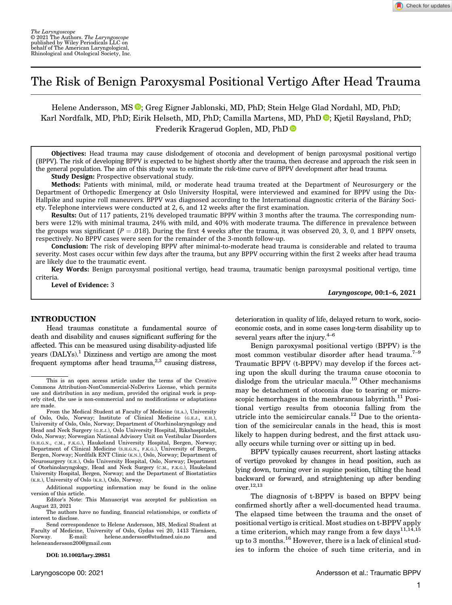# The Risk of Benign Paroxysmal Positional Vertigo After Head Trauma

Helene Andersson, MS<sup>O</sup>; Greg Eigner Jablonski, MD, PhD; Stein Helge Glad Nordahl, MD, PhD; Karl Nordfalk, MD, PhD[;](https://orcid.org/0000-0002-4108-5851) Eirik Helseth, MD, PhD; Camilla Martens, MD, PhD  $\bullet$ ; Kjetil Røysland, PhD; Frederik Kragerud Goplen, MD, PhD

Objectives: Head trauma may cause dislodgement of otoconia and development of benign paroxysmal positional vertigo (BPPV). The risk of developing BPPV is expected to be highest shortly after the trauma, then decrease and approach the risk seen in the general population. The aim of this study was to estimate the risk-time curve of BPPV development after head trauma.

**Study Design:** Prospective observational study.

Methods: Patients with minimal, mild, or moderate head trauma treated at the Department of Neurosurgery or the Department of Orthopedic Emergency at Oslo University Hospital, were interviewed and examined for BPPV using the Dix-Hallpike and supine roll maneuvers. BPPV was diagnosed according to the International diagnostic criteria of the Bárány Society. Telephone interviews were conducted at 2, 6, and 12 weeks after the first examination.

Results: Out of 117 patients, 21% developed traumatic BPPV within 3 months after the trauma. The corresponding numbers were 12% with minimal trauma, 24% with mild, and 40% with moderate trauma. The difference in prevalence between the groups was significant  $(P = .018)$ . During the first 4 weeks after the trauma, it was observed 20, 3, 0, and 1 BPPV onsets, respectively. No BPPV cases were seen for the remainder of the 3-month follow-up.

Conclusion: The risk of developing BPPV after minimal-to-moderate head trauma is considerable and related to trauma severity. Most cases occur within few days after the trauma, but any BPPV occurring within the first 2 weeks after head trauma are likely due to the traumatic event.

Key Words: Benign paroxysmal positional vertigo, head trauma, traumatic benign paroxysmal positional vertigo, time criteria.

Level of Evidence: 3

Laryngoscope, 00:1–6, 2021

Check for updates

#### INTRODUCTION

Head traumas constitute a fundamental source of death and disability and causes significant suffering for the affected. This can be measured using disability-adjusted life years (DALYs).1 Dizziness and vertigo are among the most frequent symptoms after head trauma, $^{2,3}$  causing distress,

DOI: 10.1002/lary.29851

deterioration in quality of life, delayed return to work, socioeconomic costs, and in some cases long-term disability up to several years after the injury. $4-6$ 

Benign paroxysmal positional vertigo (BPPV) is the most common vestibular disorder after head trauma.<sup>7-9</sup> Traumatic BPPV (t-BPPV) may develop if the forces acting upon the skull during the trauma cause otoconia to dislodge from the utricular macula.<sup>10</sup> Other mechanisms may be detachment of otoconia due to tearing or microscopic hemorrhages in the membranous labyrinth. $^{11}$  Positional vertigo results from otoconia falling from the utricle into the semicircular canals.<sup>12</sup> Due to the orientation of the semicircular canals in the head, this is most likely to happen during bedrest, and the first attack usually occurs while turning over or sitting up in bed.

BPPV typically causes recurrent, short lasting attacks of vertigo provoked by changes in head position, such as lying down, turning over in supine position, tilting the head backward or forward, and straightening up after bending over.12,13

This is an open access article under the terms of the [Creative](http://creativecommons.org/licenses/by-nc-nd/4.0/) [Commons Attribution-NonCommercial-NoDerivs](http://creativecommons.org/licenses/by-nc-nd/4.0/) License, which permits use and distribution in any medium, provided the original work is properly cited, the use is non-commercial and no modifications or adaptations are made.

From the Medical Student at Faculty of Medicine (H.A.), University of Oslo, Oslo, Norway; Institute of Clinical Medicine (G.E.J., E.H.), University of Oslo, Oslo, Norway; Department of Otorhinolaryngology and Head and Neck Surgery (G.E.J.), Oslo University Hospital, Rikshospitalet, Oslo, Norway; Norwegian National Advisory Unit on Vestibular Disorders (S.H.G.N., C.M., F.K.G.), Haukeland University Hospital, Bergen, Norway; Department of Clinical Medicine (S.H.G.N., F.K.G.), University of Bergen, Bergen, Norway; Nordfalk ENT Clinic (K.N.), Oslo, Norway; Department of Neurosurgery (E.H.), Oslo University Hospital, Oslo, Norway; Department of Otorhinolaryngology, Head and Neck Surgery (C.M., F.K.G.), Haukeland University Hospital, Bergen, Norway; and the Department of Biostatistics (K.R.), University of Oslo (K.R.), Oslo, Norway.

Additional supporting information may be found in the online version of this article.

Editor's Note: This Manuscript was accepted for publication on August 23, 2021

The authors have no funding, financial relationships, or conflicts of interest to disclose.

Send correspondence to Helene Andersson, MS, Medical Student at Faculty of Medicine, University of Oslo, Gydas vei 20, 1413 Tårnåsen, Norway. E-mail: [helene.andersson@studmed.uio.no](mailto:helene.andersson@studmed.uio.no) and [heleneandersson200@gmail.com](mailto:heleneandersson200@gmail.com)

The diagnosis of t-BPPV is based on BPPV being confirmed shortly after a well-documented head trauma. The elapsed time between the trauma and the onset of positional vertigo is critical. Most studies on t-BPPV apply a time criterion, which may range from a few days<sup>11,14,15</sup> up to 3 months.<sup>16</sup> However, there is a lack of clinical studies to inform the choice of such time criteria, and in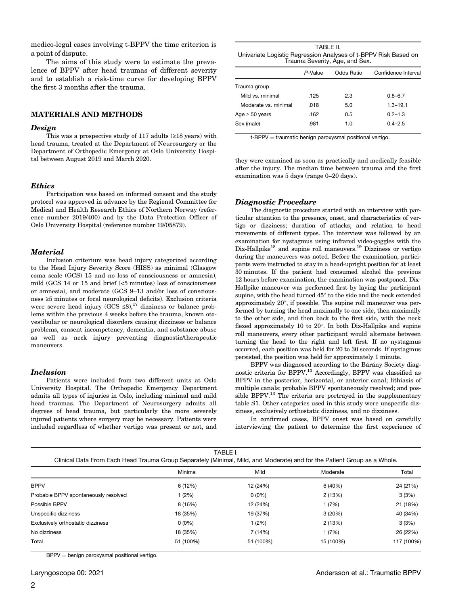medico-legal cases involving t-BPPV the time criterion is a point of dispute.

The aims of this study were to estimate the prevalence of BPPV after head traumas of different severity and to establish a risk-time curve for developing BPPV the first 3 months after the trauma.

#### MATERIALS AND METHODS

#### Design

This was a prospective study of 117 adults  $(≥18$  years) with head trauma, treated at the Department of Neurosurgery or the Department of Orthopedic Emergency at Oslo University Hospital between August 2019 and March 2020.

## **Ethics**

Participation was based on informed consent and the study protocol was approved in advance by the Regional Committee for Medical and Health Research Ethics of Northern Norway (reference number 2019/400) and by the Data Protection Officer of Oslo University Hospital (reference number 19/05879).

### **Material**

Inclusion criterium was head injury categorized according to the Head Injury Severity Score (HISS) as minimal (Glasgow coma scale (GCS) 15 and no loss of consciousness or amnesia), mild (GCS 14 or 15 and brief (<5 minutes) loss of consciousness or amnesia), and moderate (GCS 9–13 and/or loss of consciousness ≥5 minutes or focal neurological deficits). Exclusion criteria were severe head injury  $(GCS \le 8)$ ,<sup>17</sup> dizziness or balance problems within the previous 4 weeks before the trauma, known otovestibular or neurological disorders causing dizziness or balance problems, consent incompetency, dementia, and substance abuse as well as neck injury preventing diagnostic/therapeutic maneuvers.

#### Inclusion

Patients were included from two different units at Oslo University Hospital. The Orthopedic Emergency Department admits all types of injuries in Oslo, including minimal and mild head traumas. The Department of Neurosurgery admits all degrees of head trauma, but particularly the more severely injured patients where surgery may be necessary. Patients were included regardless of whether vertigo was present or not, and

| TABLE II.                                                       |
|-----------------------------------------------------------------|
| Univariate Logistic Regression Analyses of t-BPPV Risk Based on |
| Trauma Severity, Age, and Sex.                                  |

|                      | P-Value | Odds Ratio | Confidence Interval |
|----------------------|---------|------------|---------------------|
| Trauma group         |         |            |                     |
| Mild vs. minimal     | .125    | 2.3        | $0.8 - 6.7$         |
| Moderate vs. minimal | .018    | 5.0        | $1.3 - 19.1$        |
| Age $\geq 50$ years  | .162    | 0.5        | $0.2 - 1.3$         |
| Sex (male)           | .981    | 1.0        | $0.4 - 2.5$         |
|                      |         |            |                     |

t-BPPV = traumatic benign paroxysmal positional vertigo.

they were examined as soon as practically and medically feasible after the injury. The median time between trauma and the first examination was 5 days (range 0–20 days).

#### Diagnostic Procedure

The diagnostic procedure started with an interview with particular attention to the presence, onset, and characteristics of vertigo or dizziness; duration of attacks; and relation to head movements of different types. The interview was followed by an examination for nystagmus using infrared video-goggles with the Dix-Hallpike<sup>18</sup> and supine roll maneuvers.<sup>19</sup> Dizziness or vertigo during the maneuvers was noted. Before the examination, participants were instructed to stay in a head-upright position for at least 30 minutes. If the patient had consumed alcohol the previous 12 hours before examination, the examination was postponed. Dix-Hallpike maneuver was performed first by laying the participant supine, with the head turned  $45^{\circ}$  to the side and the neck extended approximately  $20^{\circ}$ , if possible. The supine roll maneuver was performed by turning the head maximally to one side, then maximally to the other side, and then back to the first side, with the neck flexed approximately 10 to  $20^{\circ}$ . In both Dix-Hallpike and supine roll maneuvers, every other participant would alternate between turning the head to the right and left first. If no nystagmus occurred, each position was held for 20 to 30 seconds. If nystagmus persisted, the position was held for approximately 1 minute.

BPPV was diagnosed according to the Bárány Society diagnostic criteria for BPPV.13 Accordingly, BPPV was classified as BPPV in the posterior, horizontal, or anterior canal; lithiasis of multiple canals; probable BPPV spontaneously resolved; and possible BPPV.<sup>13</sup> The criteria are portrayed in the supplementary table S1. Other categories used in this study were unspecific dizziness, exclusively orthostatic dizziness, and no dizziness.

In confirmed cases, BPPV onset was based on carefully interviewing the patient to determine the first experience of

| Clinical Data From Each Head Trauma Group Separately (Minimal, Mild, and Moderate) and for the Patient Group as a Whole. |  |
|--------------------------------------------------------------------------------------------------------------------------|--|
|--------------------------------------------------------------------------------------------------------------------------|--|

|                                      | Minimal   | Mild      | Moderate  | Total      |
|--------------------------------------|-----------|-----------|-----------|------------|
| <b>BPPV</b>                          | 6 (12%)   | 12 (24%)  | 6 (40%)   | 24 (21%)   |
| Probable BPPV spontaneously resolved | (2%)      | $0(0\%)$  | 2 (13%)   | 3(3%)      |
| Possible BPPV                        | 8 (16%)   | 12 (24%)  | 1 (7%)    | 21 (18%)   |
| Unspecific dizziness                 | 18 (35%)  | 19 (37%)  | 3(20%)    | 40 (34%)   |
| Exclusively orthostatic dizziness    | $0(0\%)$  | (2%)      | 2(13%)    | 3(3%)      |
| No dizziness                         | 18 (35%)  | 7 (14%)   | 1 (7%)    | 26 (22%)   |
| Total                                | 51 (100%) | 51 (100%) | 15 (100%) | 117 (100%) |

 $BPPV =$  benign paroxysmal positional vertigo.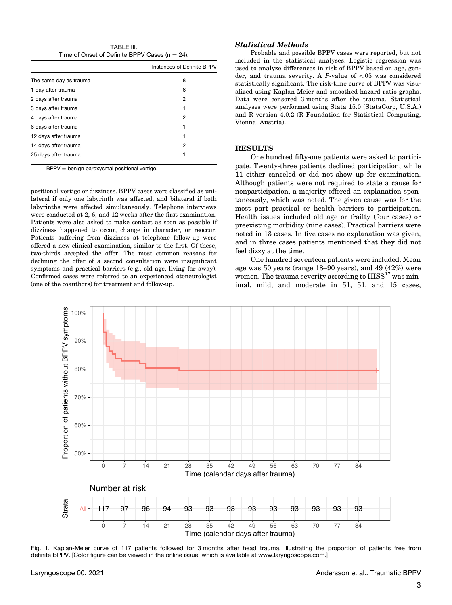| TABLE III.                                         |
|----------------------------------------------------|
| Time of Onset of Definite BPPV Cases ( $n = 24$ ). |
| Instances of Definite F                            |

|                        | Instances of Definite BPPV |
|------------------------|----------------------------|
| The same day as trauma | 8                          |
| 1 day after trauma     | 6                          |
| 2 days after trauma    | 2                          |
| 3 days after trauma    | 1                          |
| 4 days after trauma    | 2                          |
| 6 days after trauma    | 1                          |
| 12 days after trauma   | 1                          |
| 14 days after trauma   | 2                          |
| 25 days after trauma   | 1                          |
|                        |                            |

BPPV = benign paroxysmal positional vertigo.

positional vertigo or dizziness. BPPV cases were classified as unilateral if only one labyrinth was affected, and bilateral if both labyrinths were affected simultaneously. Telephone interviews were conducted at 2, 6, and 12 weeks after the first examination. Patients were also asked to make contact as soon as possible if dizziness happened to occur, change in character, or reoccur. Patients suffering from dizziness at telephone follow-up were offered a new clinical examination, similar to the first. Of these, two-thirds accepted the offer. The most common reasons for declining the offer of a second consultation were insignificant symptoms and practical barriers (e.g., old age, living far away). Confirmed cases were referred to an experienced otoneurologist (one of the coauthors) for treatment and follow-up.

## Statistical Methods

Probable and possible BPPV cases were reported, but not included in the statistical analyses. Logistic regression was used to analyze differences in risk of BPPV based on age, gender, and trauma severity. A P-value of <.05 was considered statistically significant. The risk-time curve of BPPV was visualized using Kaplan-Meier and smoothed hazard ratio graphs. Data were censored 3 months after the trauma. Statistical analyses were performed using Stata 15.0 (StataCorp, U.S.A.) and R version 4.0.2 (R Foundation for Statistical Computing, Vienna, Austria).

# **RESULTS**

One hundred fifty-one patients were asked to participate. Twenty-three patients declined participation, while 11 either canceled or did not show up for examination. Although patients were not required to state a cause for nonparticipation, a majority offered an explanation spontaneously, which was noted. The given cause was for the most part practical or health barriers to participation. Health issues included old age or frailty (four cases) or preexisting morbidity (nine cases). Practical barriers were noted in 13 cases. In five cases no explanation was given, and in three cases patients mentioned that they did not feel dizzy at the time.

One hundred seventeen patients were included. Mean age was 50 years (range 18–90 years), and 49 (42%) were women. The trauma severity according to  $HISS<sup>17</sup>$  was minimal, mild, and moderate in 51, 51, and 15 cases,



Fig. 1. Kaplan-Meier curve of 117 patients followed for 3 months after head trauma, illustrating the proportion of patients free from definite BPPV. [Color figure can be viewed in the online issue, which is available at [www.laryngoscope.com](http://www.laryngoscope.com).]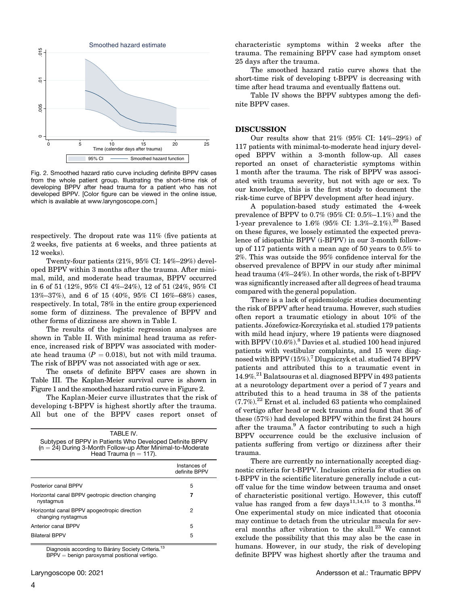

Fig. 2. Smoothed hazard ratio curve including definite BPPV cases from the whole patient group. Illustrating the short-time risk of developing BPPV after head trauma for a patient who has not developed BPPV. [Color figure can be viewed in the online issue, which is available at [www.laryngoscope.com.](http://www.laryngoscope.com)]

respectively. The dropout rate was 11% (five patients at 2 weeks, five patients at 6 weeks, and three patients at 12 weeks).

Twenty-four patients (21%, 95% CI: 14%–29%) developed BPPV within 3 months after the trauma. After minimal, mild, and moderate head traumas, BPPV occurred in 6 of 51 (12%, 95% CI 4%–24%), 12 of 51 (24%, 95% CI 13%–37%), and 6 of 15 (40%, 95% CI 16%–68%) cases, respectively. In total, 78% in the entire group experienced some form of dizziness. The prevalence of BPPV and other forms of dizziness are shown in Table I.

The results of the logistic regression analyses are shown in Table II. With minimal head trauma as reference, increased risk of BPPV was associated with moderate head trauma ( $P = 0.018$ ), but not with mild trauma. The risk of BPPV was not associated with age or sex.

The onsets of definite BPPV cases are shown in Table III. The Kaplan-Meier survival curve is shown in Figure 1 and the smoothed hazard ratio curve in Figure 2.

The Kaplan-Meier curve illustrates that the risk of developing t-BPPV is highest shortly after the trauma. All but one of the BPPV cases report onset of

| TABI F IV.<br>Subtypes of BPPV in Patients Who Developed Definite BPPV<br>$(n = 24)$ During 3-Month Follow-up After Minimal-to-Moderate<br>Head Trauma ( $n = 117$ ). |                               |  |
|-----------------------------------------------------------------------------------------------------------------------------------------------------------------------|-------------------------------|--|
|                                                                                                                                                                       | Instances of<br>definite BPPV |  |
| Posterior canal BPPV                                                                                                                                                  | 5                             |  |
| Horizontal canal BPPV geotropic direction changing<br>nystagmus                                                                                                       | 7                             |  |
| Horizontal canal BPPV apogeotropic direction<br>changing nystagmus                                                                                                    | 2                             |  |
| Anterior canal BPPV                                                                                                                                                   | 5                             |  |
| <b>Bilateral BPPV</b>                                                                                                                                                 | 5                             |  |

Diagnosis according to Bárány Society Criteria.<sup>13</sup>

 $BPPV =$  benign paroxysmal positional vertigo.

characteristic symptoms within 2 weeks after the trauma. The remaining BPPV case had symptom onset 25 days after the trauma.

The smoothed hazard ratio curve shows that the short-time risk of developing t-BPPV is decreasing with time after head trauma and eventually flattens out.

Table IV shows the BPPV subtypes among the definite BPPV cases.

#### **DISCUSSION**

Our results show that 21% (95% CI: 14%–29%) of 117 patients with minimal-to-moderate head injury developed BPPV within a 3-month follow-up. All cases reported an onset of characteristic symptoms within 1 month after the trauma. The risk of BPPV was associated with trauma severity, but not with age or sex. To our knowledge, this is the first study to document the risk-time curve of BPPV development after head injury.

A population-based study estimated the 4-week prevalence of BPPV to 0.7% (95% CI: 0.5%–1.1%) and the 1-year prevalence to  $1.6\%$  (95% CI:  $1.3\%$ -2.1%).<sup>20</sup> Based on these figures, we loosely estimated the expected prevalence of idiopathic BPPV (i-BPPV) in our 3-month followup of 117 patients with a mean age of 50 years to 0.5% to 2%. This was outside the 95% confidence interval for the observed prevalence of BPPV in our study after minimal head trauma (4%–24%). In other words, the risk of t-BPPV was significantly increased after all degrees of head trauma compared with the general population.

There is a lack of epidemiologic studies documenting the risk of BPPV after head trauma. However, such studies often report a traumatic etiology in about 10% of the patients. Józefowicz-Korczyńska et al. studied 179 patients with mild head injury, where 19 patients were diagnosed with BPPV (10.6%).<sup>8</sup> Davies et al. studied 100 head injured patients with vestibular complaints, and 15 were diagnosed with BPPV (15%).<sup>7</sup> Dlugaiczyk et al. studied 74 BPPV patients and attributed this to a traumatic event in 14.9%.21 Balatsouras et al. diagnosed BPPV in 493 patients at a neurotology department over a period of 7 years and attributed this to a head trauma in 38 of the patients  $(7.7\%)$ <sup>22</sup> Ernst et al. included 63 patients who complained of vertigo after head or neck trauma and found that 36 of these (57%) had developed BPPV within the first 24 hours after the trauma.<sup>9</sup> A factor contributing to such a high BPPV occurrence could be the exclusive inclusion of patients suffering from vertigo or dizziness after their trauma.

There are currently no internationally accepted diagnostic criteria for t-BPPV. Inclusion criteria for studies on t-BPPV in the scientific literature generally include a cutoff value for the time window between trauma and onset of characteristic positional vertigo. However, this cutoff value has ranged from a few days<sup>11,14,15</sup> to 3 months.<sup>16</sup> One experimental study on mice indicated that otoconia may continue to detach from the utricular macula for several months after vibration to the skull.<sup>23</sup> We cannot exclude the possibility that this may also be the case in humans. However, in our study, the risk of developing definite BPPV was highest shortly after the trauma and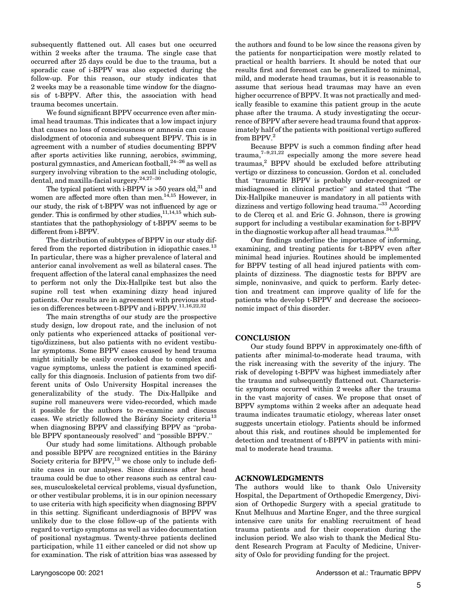subsequently flattened out. All cases but one occurred within 2 weeks after the trauma. The single case that occurred after 25 days could be due to the trauma, but a sporadic case of i-BPPV was also expected during the follow-up. For this reason, our study indicates that 2 weeks may be a reasonable time window for the diagnosis of t-BPPV. After this, the association with head trauma becomes uncertain.

We found significant BPPV occurrence even after minimal head traumas. This indicates that a low impact injury that causes no loss of consciousness or amnesia can cause dislodgment of otoconia and subsequent BPPV. This is in agreement with a number of studies documenting BPPV after sports activities like running, aerobics, swimming, postural gymnastics, and American football,24–<sup>26</sup> as well as surgery involving vibration to the scull including otologic, dental, and maxilla-facial surgery.24,27–<sup>30</sup>

The typical patient with i-BPPV is  $>50$  years old,<sup>31</sup> and women are affected more often than men.<sup>14,15</sup> However, in our study, the risk of t-BPPV was not influenced by age or gender. This is confirmed by other studies,  $11,14,15$  which substantiates that the pathophysiology of t-BPPV seems to be different from i-BPPV.

The distribution of subtypes of BPPV in our study differed from the reported distribution in idiopathic cases.<sup>13</sup> In particular, there was a higher prevalence of lateral and anterior canal involvement as well as bilateral cases. The frequent affection of the lateral canal emphasizes the need to perform not only the Dix-Hallpike test but also the supine roll test when examining dizzy head injured patients. Our results are in agreement with previous studies on differences between t-BPPV and i-BPPV.  $^{11,16,22,32}\,$ 

The main strengths of our study are the prospective study design, low dropout rate, and the inclusion of not only patients who experienced attacks of positional vertigo/dizziness, but also patients with no evident vestibular symptoms. Some BPPV cases caused by head trauma might initially be easily overlooked due to complex and vague symptoms, unless the patient is examined specifically for this diagnosis. Inclusion of patients from two different units of Oslo University Hospital increases the generalizability of the study. The Dix-Hallpike and supine roll maneuvers were video-recorded, which made it possible for the authors to re-examine and discuss cases. We strictly followed the Bárány Society criteria<sup>13</sup> when diagnosing BPPV and classifying BPPV as "probable BPPV spontaneously resolved" and "possible BPPV."

Our study had some limitations. Although probable and possible BPPV are recognized entities in the Bárány Society criteria for  $BPPV$ ,<sup>13</sup> we chose only to include definite cases in our analyses. Since dizziness after head trauma could be due to other reasons such as central causes, musculoskeletal cervical problems, visual dysfunction, or other vestibular problems, it is in our opinion necessary to use criteria with high specificity when diagnosing BPPV in this setting. Significant underdiagnosis of BPPV was unlikely due to the close follow-up of the patients with regard to vertigo symptoms as well as video documentation of positional nystagmus. Twenty-three patients declined participation, while 11 either canceled or did not show up for examination. The risk of attrition bias was assessed by the authors and found to be low since the reasons given by the patients for nonparticipation were mostly related to practical or health barriers. It should be noted that our results first and foremost can be generalized to minimal, mild, and moderate head traumas, but it is reasonable to assume that serious head traumas may have an even higher occurrence of BPPV. It was not practically and medically feasible to examine this patient group in the acute phase after the trauma. A study investigating the occurrence of BPPV after severe head trauma found that approximately half of the patients with positional vertigo suffered from BPPV.<sup>2</sup>

Because BPPV is such a common finding after head trauma, $7-9,21,22$  especially among the more severe head traumas,<sup>2</sup> BPPV should be excluded before attributing vertigo or dizziness to concussion. Gordon et al. concluded that "traumatic BPPV is probably under-recognized or misdiagnosed in clinical practice" and stated that "The Dix-Hallpike maneuver is mandatory in all patients with dizziness and vertigo following head trauma."<sup>33</sup> According to de Clercq et al. and Eric G. Johnson, there is growing support for including a vestibular examination for t-BPPV in the diagnostic workup after all head traumas.<sup>34,35</sup>

Our findings underline the importance of informing, examining, and treating patients for t-BPPV even after minimal head injuries. Routines should be implemented for BPPV testing of all head injured patients with complaints of dizziness. The diagnostic tests for BPPV are simple, noninvasive, and quick to perform. Early detection and treatment can improve quality of life for the patients who develop t-BPPV and decrease the socioeconomic impact of this disorder.

## **CONCLUSION**

Our study found BPPV in approximately one-fifth of patients after minimal-to-moderate head trauma, with the risk increasing with the severity of the injury. The risk of developing t-BPPV was highest immediately after the trauma and subsequently flattened out. Characteristic symptoms occurred within 2 weeks after the trauma in the vast majority of cases. We propose that onset of BPPV symptoms within 2 weeks after an adequate head trauma indicates traumatic etiology, whereas later onset suggests uncertain etiology. Patients should be informed about this risk, and routines should be implemented for detection and treatment of t-BPPV in patients with minimal to moderate head trauma.

#### ACKNOWLEDGMENTS

The authors would like to thank Oslo University Hospital, the Department of Orthopedic Emergency, Division of Orthopedic Surgery with a special gratitude to Knut Melhuus and Martine Enger, and the three surgical intensive care units for enabling recruitment of head trauma patients and for their cooperation during the inclusion period. We also wish to thank the Medical Student Research Program at Faculty of Medicine, University of Oslo for providing funding for the project.